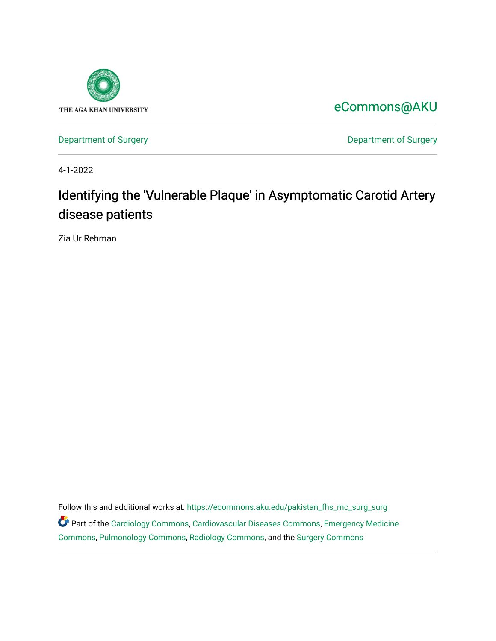

[eCommons@AKU](https://ecommons.aku.edu/) 

[Department of Surgery](https://ecommons.aku.edu/pakistan_fhs_mc_surg) **Department of Surgery** 

4-1-2022

# Identifying the 'Vulnerable Plaque' in Asymptomatic Carotid Artery disease patients

Zia Ur Rehman

Follow this and additional works at: [https://ecommons.aku.edu/pakistan\\_fhs\\_mc\\_surg\\_surg](https://ecommons.aku.edu/pakistan_fhs_mc_surg_surg?utm_source=ecommons.aku.edu%2Fpakistan_fhs_mc_surg_surg%2F894&utm_medium=PDF&utm_campaign=PDFCoverPages)  Part of the [Cardiology Commons](https://network.bepress.com/hgg/discipline/683?utm_source=ecommons.aku.edu%2Fpakistan_fhs_mc_surg_surg%2F894&utm_medium=PDF&utm_campaign=PDFCoverPages), [Cardiovascular Diseases Commons,](https://network.bepress.com/hgg/discipline/929?utm_source=ecommons.aku.edu%2Fpakistan_fhs_mc_surg_surg%2F894&utm_medium=PDF&utm_campaign=PDFCoverPages) [Emergency Medicine](https://network.bepress.com/hgg/discipline/685?utm_source=ecommons.aku.edu%2Fpakistan_fhs_mc_surg_surg%2F894&utm_medium=PDF&utm_campaign=PDFCoverPages)  [Commons](https://network.bepress.com/hgg/discipline/685?utm_source=ecommons.aku.edu%2Fpakistan_fhs_mc_surg_surg%2F894&utm_medium=PDF&utm_campaign=PDFCoverPages), [Pulmonology Commons,](https://network.bepress.com/hgg/discipline/1363?utm_source=ecommons.aku.edu%2Fpakistan_fhs_mc_surg_surg%2F894&utm_medium=PDF&utm_campaign=PDFCoverPages) [Radiology Commons](https://network.bepress.com/hgg/discipline/705?utm_source=ecommons.aku.edu%2Fpakistan_fhs_mc_surg_surg%2F894&utm_medium=PDF&utm_campaign=PDFCoverPages), and the [Surgery Commons](https://network.bepress.com/hgg/discipline/706?utm_source=ecommons.aku.edu%2Fpakistan_fhs_mc_surg_surg%2F894&utm_medium=PDF&utm_campaign=PDFCoverPages)